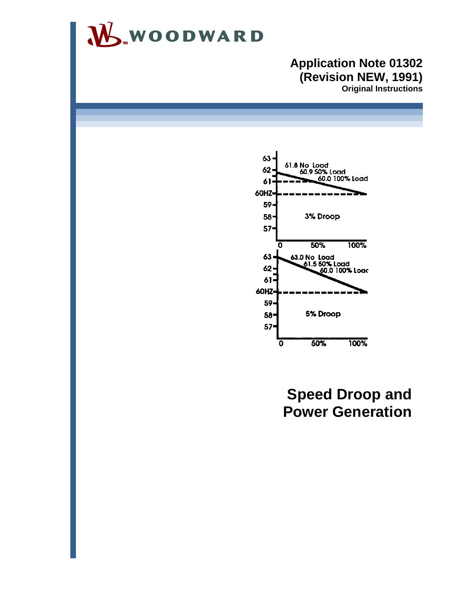

### **Application Note 01302 (Revision NEW, 1991) Original Instructions**



# **Speed Droop and Power Generation**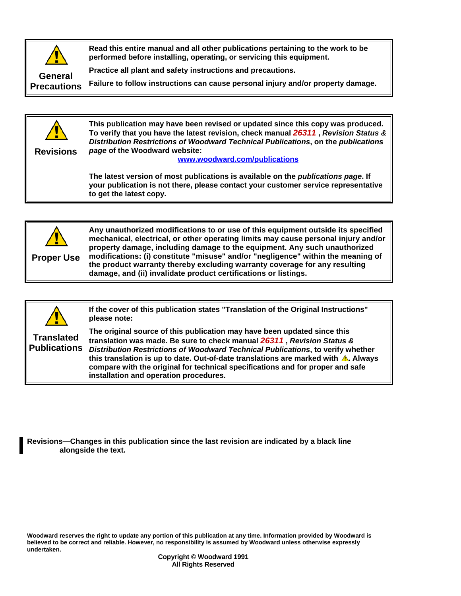

**Read this entire manual and all other publications pertaining to the work to be performed before installing, operating, or servicing this equipment.** 

**Practice all plant and safety instructions and precautions.** 

**Failure to follow instructions can cause personal injury and/or property damage.** 



**Revisions**

**This publication may have been revised or updated since this copy was produced. To verify that you have the latest revision, check manual** *26311* **,** *Revision Status & Distribution Restrictions of Woodward Technical Publications***, on the** *publications page* **of the Woodward website:** 

**www.woodward.com/publications**

**The latest version of most publications is available on the** *publications page***. If your publication is not there, please contact your customer service representative to get the latest copy.** 



**Any unauthorized modifications to or use of this equipment outside its specified mechanical, electrical, or other operating limits may cause personal injury and/or property damage, including damage to the equipment. Any such unauthorized modifications: (i) constitute "misuse" and/or "negligence" within the meaning of the product warranty thereby excluding warranty coverage for any resulting damage, and (ii) invalidate product certifications or listings.** 



**If the cover of this publication states "Translation of the Original Instructions" please note:** 

**Translated Publications**

**The original source of this publication may have been updated since this translation was made. Be sure to check manual** *26311* **,** *Revision Status & Distribution Restrictions of Woodward Technical Publications***, to verify whether**  this translation is up to date. Out-of-date translations are marked with **A**. Always **compare with the original for technical specifications and for proper and safe installation and operation procedures.** 

**Revisions—Changes in this publication since the last revision are indicated by a black line alongside the text.** 

**Woodward reserves the right to update any portion of this publication at any time. Information provided by Woodward is believed to be correct and reliable. However, no responsibility is assumed by Woodward unless otherwise expressly undertaken.**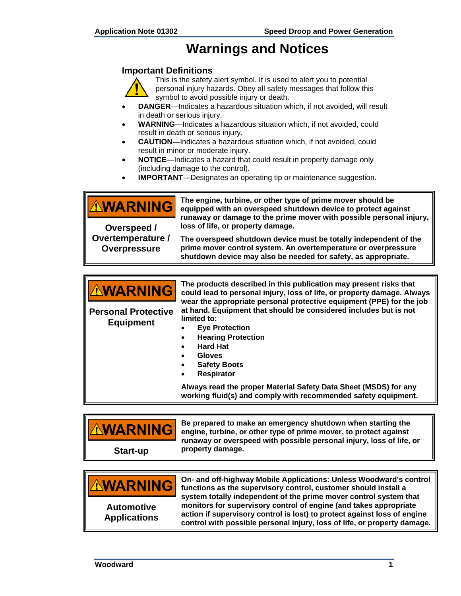## **Warnings and Notices**

#### **Important Definitions**



This is the safety alert symbol. It is used to alert you to potential personal injury hazards. Obey all safety messages that follow this symbol to avoid possible injury or death.

- **DANGER**—Indicates a hazardous situation which, if not avoided, will result in death or serious injury.
- **WARNING**—Indicates a hazardous situation which, if not avoided, could result in death or serious injury.
- **CAUTION**—Indicates a hazardous situation which, if not avoided, could result in minor or moderate injury.
- **NOTICE**—Indicates a hazard that could result in property damage only (including damage to the control).
- **IMPORTANT**—Designates an operating tip or maintenance suggestion.

**The engine, turbine, or other type of prime mover should be**  <u> AWARNING</u> **equipped with an overspeed shutdown device to protect against runaway or damage to the prime mover with possible personal injury, loss of life, or property damage. Overspeed / Overtemperature / The overspeed shutdown device must be totally independent of the prime mover control system. An overtemperature or overpressure Overpressure shutdown device may also be needed for safety, as appropriate.** 

| <b>AWARNING</b><br><b>Personal Protective</b><br><b>Equipment</b> | The products described in this publication may present risks that<br>could lead to personal injury, loss of life, or property damage. Always<br>wear the appropriate personal protective equipment (PPE) for the job<br>at hand. Equipment that should be considered includes but is not<br>limited to:<br><b>Eye Protection</b><br><b>Hearing Protection</b> |
|-------------------------------------------------------------------|---------------------------------------------------------------------------------------------------------------------------------------------------------------------------------------------------------------------------------------------------------------------------------------------------------------------------------------------------------------|
|                                                                   | <b>Hard Hat</b>                                                                                                                                                                                                                                                                                                                                               |
|                                                                   | <b>Gloves</b>                                                                                                                                                                                                                                                                                                                                                 |
|                                                                   | <b>Safety Boots</b>                                                                                                                                                                                                                                                                                                                                           |
|                                                                   | <b>Respirator</b><br>٠                                                                                                                                                                                                                                                                                                                                        |
|                                                                   | Always read the proper Material Safety Data Sheet (MSDS) for any<br>working fluid(s) and comply with recommended safety equipment.                                                                                                                                                                                                                            |

| <b>AWARNING</b> | Be prepared to make an emergency shutdown when starting the<br>engine, turbine, or other type of prime mover, to protect against<br>runaway or overspeed with possible personal injury, loss of life, or<br>property damage. |
|-----------------|------------------------------------------------------------------------------------------------------------------------------------------------------------------------------------------------------------------------------|
| Start-up        |                                                                                                                                                                                                                              |

| <b>AWARNING</b>                          | On- and off-highway Mobile Applications: Unless Woodward's control<br>functions as the supervisory control, customer should install a<br>system totally independent of the prime mover control system that                |
|------------------------------------------|---------------------------------------------------------------------------------------------------------------------------------------------------------------------------------------------------------------------------|
| <b>Automotive</b><br><b>Applications</b> | monitors for supervisory control of engine (and takes appropriate<br>action if supervisory control is lost) to protect against loss of engine<br>control with possible personal injury, loss of life, or property damage. |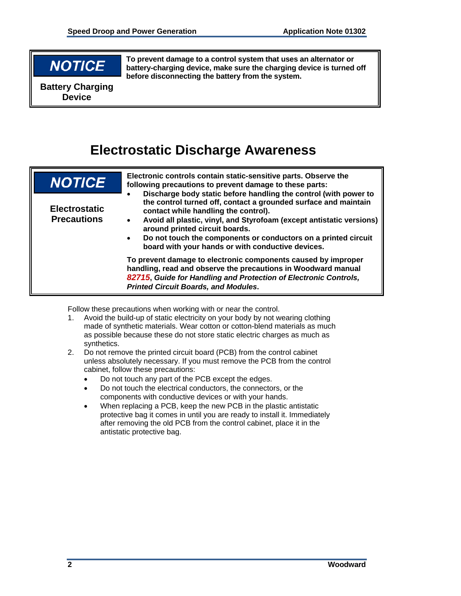# **NOTICE**

**To prevent damage to a control system that uses an alternator or battery-charging device, make sure the charging device is turned off before disconnecting the battery from the system.** 

**Battery Charging Device**

# **Electrostatic Discharge Awareness**

| <b>NOTICE</b>                              | Electronic controls contain static-sensitive parts. Observe the<br>following precautions to prevent damage to these parts:                                                                                                                                                                                                                                                                                                                                                                                                                                                                                                                                                                  |
|--------------------------------------------|---------------------------------------------------------------------------------------------------------------------------------------------------------------------------------------------------------------------------------------------------------------------------------------------------------------------------------------------------------------------------------------------------------------------------------------------------------------------------------------------------------------------------------------------------------------------------------------------------------------------------------------------------------------------------------------------|
| <b>Electrostatic</b><br><b>Precautions</b> | Discharge body static before handling the control (with power to<br>the control turned off, contact a grounded surface and maintain<br>contact while handling the control).<br>Avoid all plastic, vinyl, and Styrofoam (except antistatic versions)<br>$\bullet$<br>around printed circuit boards.<br>Do not touch the components or conductors on a printed circuit<br>$\bullet$<br>board with your hands or with conductive devices.<br>To prevent damage to electronic components caused by improper<br>handling, read and observe the precautions in Woodward manual<br>82715, Guide for Handling and Protection of Electronic Controls,<br><b>Printed Circuit Boards, and Modules.</b> |

Follow these precautions when working with or near the control.

- 1. Avoid the build-up of static electricity on your body by not wearing clothing made of synthetic materials. Wear cotton or cotton-blend materials as much as possible because these do not store static electric charges as much as synthetics.
- 2. Do not remove the printed circuit board (PCB) from the control cabinet unless absolutely necessary. If you must remove the PCB from the control cabinet, follow these precautions:
	- Do not touch any part of the PCB except the edges.
	- Do not touch the electrical conductors, the connectors, or the components with conductive devices or with your hands.
	- When replacing a PCB, keep the new PCB in the plastic antistatic protective bag it comes in until you are ready to install it. Immediately after removing the old PCB from the control cabinet, place it in the antistatic protective bag.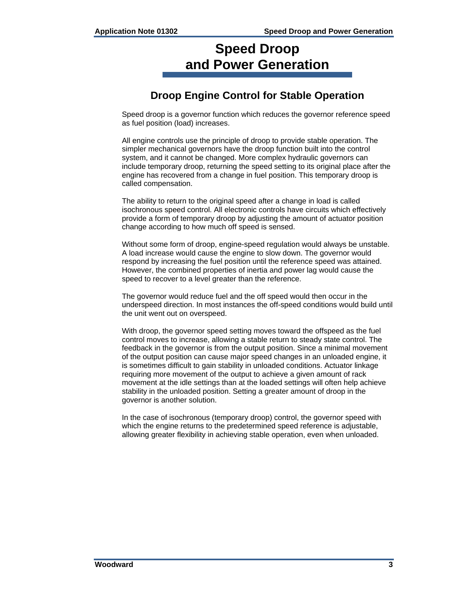# **Speed Droop and Power Generation**

## **Droop Engine Control for Stable Operation**

Speed droop is a governor function which reduces the governor reference speed as fuel position (load) increases.

All engine controls use the principle of droop to provide stable operation. The simpler mechanical governors have the droop function built into the control system, and it cannot be changed. More complex hydraulic governors can include temporary droop, returning the speed setting to its original place after the engine has recovered from a change in fuel position. This temporary droop is called compensation.

The ability to return to the original speed after a change in load is called isochronous speed control. All electronic controls have circuits which effectively provide a form of temporary droop by adjusting the amount of actuator position change according to how much off speed is sensed.

Without some form of droop, engine-speed regulation would always be unstable. A load increase would cause the engine to slow down. The governor would respond by increasing the fuel position until the reference speed was attained. However, the combined properties of inertia and power lag would cause the speed to recover to a level greater than the reference.

The governor would reduce fuel and the off speed would then occur in the underspeed direction. In most instances the off-speed conditions would build until the unit went out on overspeed.

With droop, the governor speed setting moves toward the offspeed as the fuel control moves to increase, allowing a stable return to steady state control. The feedback in the governor is from the output position. Since a minimal movement of the output position can cause major speed changes in an unloaded engine, it is sometimes difficult to gain stability in unloaded conditions. Actuator linkage requiring more movement of the output to achieve a given amount of rack movement at the idle settings than at the loaded settings will often help achieve stability in the unloaded position. Setting a greater amount of droop in the governor is another solution.

In the case of isochronous (temporary droop) control, the governor speed with which the engine returns to the predetermined speed reference is adjustable, allowing greater flexibility in achieving stable operation, even when unloaded.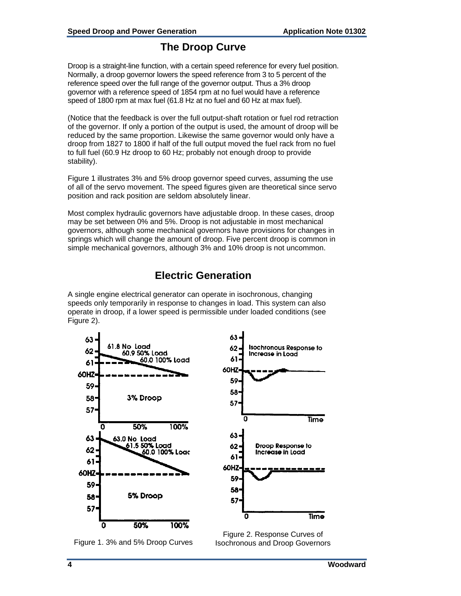### **The Droop Curve**

Droop is a straight-line function, with a certain speed reference for every fuel position. Normally, a droop governor lowers the speed reference from 3 to 5 percent of the reference speed over the full range of the governor output. Thus a 3% droop governor with a reference speed of 1854 rpm at no fuel would have a reference speed of 1800 rpm at max fuel (61.8 Hz at no fuel and 60 Hz at max fuel).

(Notice that the feedback is over the full output-shaft rotation or fuel rod retraction of the governor. If only a portion of the output is used, the amount of droop will be reduced by the same proportion. Likewise the same governor would only have a droop from 1827 to 1800 if half of the full output moved the fuel rack from no fuel to full fuel (60.9 Hz droop to 60 Hz; probably not enough droop to provide stability).

Figure 1 illustrates 3% and 5% droop governor speed curves, assuming the use of all of the servo movement. The speed figures given are theoretical since servo position and rack position are seldom absolutely linear.

Most complex hydraulic governors have adjustable droop. In these cases, droop may be set between 0% and 5%. Droop is not adjustable in most mechanical governors, although some mechanical governors have provisions for changes in springs which will change the amount of droop. Five percent droop is common in simple mechanical governors, although 3% and 10% droop is not uncommon.

### **Electric Generation**

A single engine electrical generator can operate in isochronous, changing speeds only temporarily in response to changes in load. This system can also operate in droop, if a lower speed is permissible under loaded conditions (see Figure 2).





Figure 2. Response Curves of Isochronous and Droop Governors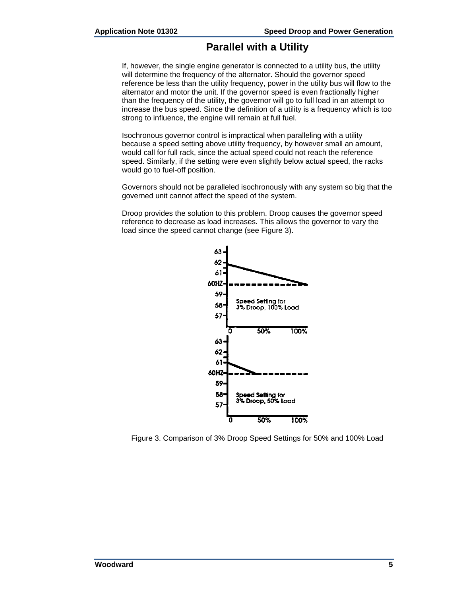### **Parallel with a Utility**

If, however, the single engine generator is connected to a utility bus, the utility will determine the frequency of the alternator. Should the governor speed reference be less than the utility frequency, power in the utility bus will flow to the alternator and motor the unit. If the governor speed is even fractionally higher than the frequency of the utility, the governor will go to full load in an attempt to increase the bus speed. Since the definition of a utility is a frequency which is too strong to influence, the engine will remain at full fuel.

Isochronous governor control is impractical when paralleling with a utility because a speed setting above utility frequency, by however small an amount, would call for full rack, since the actual speed could not reach the reference speed. Similarly, if the setting were even slightly below actual speed, the racks would go to fuel-off position.

Governors should not be paralleled isochronously with any system so big that the governed unit cannot affect the speed of the system.

Droop provides the solution to this problem. Droop causes the governor speed reference to decrease as load increases. This allows the governor to vary the load since the speed cannot change (see Figure 3).



Figure 3. Comparison of 3% Droop Speed Settings for 50% and 100% Load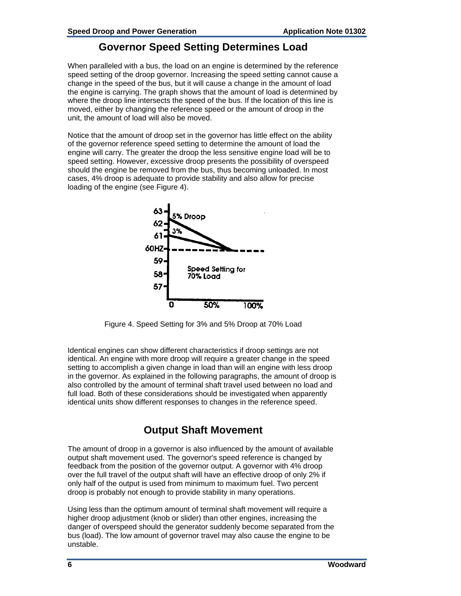#### **Governor Speed Setting Determines Load**

When paralleled with a bus, the load on an engine is determined by the reference speed setting of the droop governor. Increasing the speed setting cannot cause a change in the speed of the bus, but it will cause a change in the amount of load the engine is carrying. The graph shows that the amount of load is determined by where the droop line intersects the speed of the bus. If the location of this line is moved, either by changing the reference speed or the amount of droop in the unit, the amount of load will also be moved.

Notice that the amount of droop set in the governor has little effect on the ability of the governor reference speed setting to determine the amount of load the engine will carry. The greater the droop the less sensitive engine load will be to speed setting. However, excessive droop presents the possibility of overspeed should the engine be removed from the bus, thus becoming unloaded. In most cases, 4% droop is adequate to provide stability and also allow for precise loading of the engine (see Figure 4).



Figure 4. Speed Setting for 3% and 5% Droop at 70% Load

Identical engines can show different characteristics if droop settings are not identical. An engine with more droop will require a greater change in the speed setting to accomplish a given change in load than will an engine with less droop in the governor. As explained in the following paragraphs, the amount of droop is also controlled by the amount of terminal shaft travel used between no load and full load. Both of these considerations should be investigated when apparently identical units show different responses to changes in the reference speed.

## **Output Shaft Movement**

The amount of droop in a governor is also influenced by the amount of available output shaft movement used. The governor's speed reference is changed by feedback from the position of the governor output. A governor with 4% droop over the full travel of the output shaft will have an effective droop of only 2% if only half of the output is used from minimum to maximum fuel. Two percent droop is probably not enough to provide stability in many operations.

Using less than the optimum amount of terminal shaft movement will require a higher droop adjustment (knob or slider) than other engines, increasing the danger of overspeed should the generator suddenly become separated from the bus (load). The low amount of governor travel may also cause the engine to be unstable.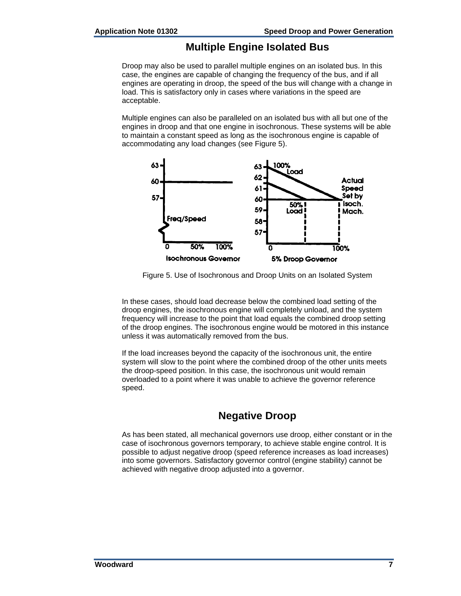### **Multiple Engine Isolated Bus**

Droop may also be used to parallel multiple engines on an isolated bus. In this case, the engines are capable of changing the frequency of the bus, and if all engines are operating in droop, the speed of the bus will change with a change in load. This is satisfactory only in cases where variations in the speed are acceptable.

Multiple engines can also be paralleled on an isolated bus with all but one of the engines in droop and that one engine in isochronous. These systems will be able to maintain a constant speed as long as the isochronous engine is capable of accommodating any load changes (see Figure 5).



Figure 5. Use of Isochronous and Droop Units on an Isolated System

In these cases, should load decrease below the combined load setting of the droop engines, the isochronous engine will completely unload, and the system frequency will increase to the point that load equals the combined droop setting of the droop engines. The isochronous engine would be motored in this instance unless it was automatically removed from the bus.

If the load increases beyond the capacity of the isochronous unit, the entire system will slow to the point where the combined droop of the other units meets the droop-speed position. In this case, the isochronous unit would remain overloaded to a point where it was unable to achieve the governor reference speed.

## **Negative Droop**

As has been stated, all mechanical governors use droop, either constant or in the case of isochronous governors temporary, to achieve stable engine control. It is possible to adjust negative droop (speed reference increases as load increases) into some governors. Satisfactory governor control (engine stability) cannot be achieved with negative droop adjusted into a governor.